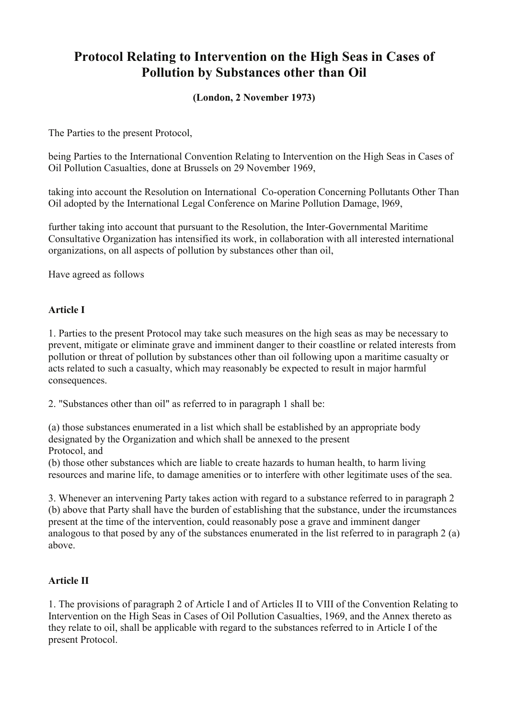# **Protocol Relating to Intervention on the High Seas in Cases of Pollution by Substances other than Oil**

## **(London, 2 November 1973)**

The Parties to the present Protocol,

being Parties to the International Convention Relating to Intervention on the High Seas in Cases of Oil Pollution Casualties, done at Brussels on 29 November 1969,

taking into account the Resolution on International Co-operation Concerning Pollutants Other Than Oil adopted by the International Legal Conference on Marine Pollution Damage, l969,

further taking into account that pursuant to the Resolution, the Inter-Governmental Maritime Consultative Organization has intensified its work, in collaboration with all interested international organizations, on all aspects of pollution by substances other than oil,

Have agreed as follows

#### **Article I**

1. Parties to the present Protocol may take such measures on the high seas as may be necessary to prevent, mitigate or eliminate grave and imminent danger to their coastline or related interests from pollution or threat of pollution by substances other than oil following upon a maritime casualty or acts related to such a casualty, which may reasonably be expected to result in major harmful consequences.

2. "Substances other than oil" as referred to in paragraph 1 shall be:

(a) those substances enumerated in a list which shall be established by an appropriate body designated by the Organization and which shall be annexed to the present Protocol, and

(b) those other substances which are liable to create hazards to human health, to harm living resources and marine life, to damage amenities or to interfere with other legitimate uses of the sea.

3. Whenever an intervening Party takes action with regard to a substance referred to in paragraph 2 (b) above that Party shall have the burden of establishing that the substance, under the ircumstances present at the time of the intervention, could reasonably pose a grave and imminent danger analogous to that posed by any of the substances enumerated in the list referred to in paragraph 2 (a) above.

#### **Article II**

1. The provisions of paragraph 2 of Article I and of Articles II to VIII of the Convention Relating to Intervention on the High Seas in Cases of Oil Pollution Casualties, 1969, and the Annex thereto as they relate to oil, shall be applicable with regard to the substances referred to in Article I of the present Protocol.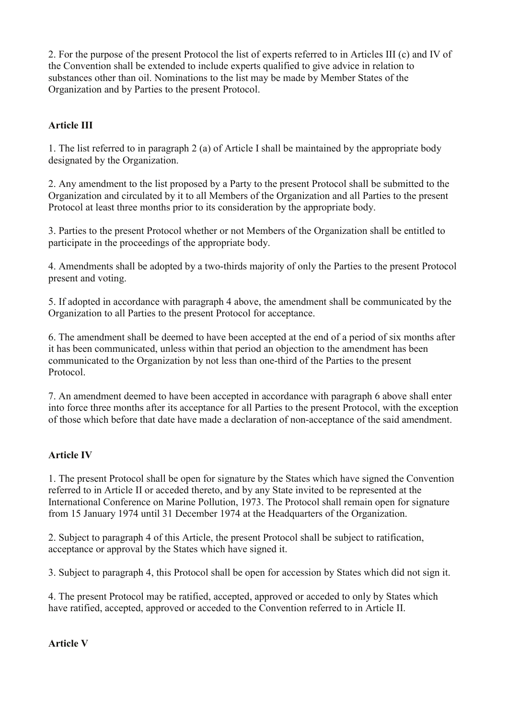2. For the purpose of the present Protocol the list of experts referred to in Articles III (c) and IV of the Convention shall be extended to include experts qualified to give advice in relation to substances other than oil. Nominations to the list may be made by Member States of the Organization and by Parties to the present Protocol.

## **Article III**

1. The list referred to in paragraph 2 (a) of Article I shall be maintained by the appropriate body designated by the Organization.

2. Any amendment to the list proposed by a Party to the present Protocol shall be submitted to the Organization and circulated by it to all Members of the Organization and all Parties to the present Protocol at least three months prior to its consideration by the appropriate body.

3. Parties to the present Protocol whether or not Members of the Organization shall be entitled to participate in the proceedings of the appropriate body.

4. Amendments shall be adopted by a two-thirds majority of only the Parties to the present Protocol present and voting.

5. If adopted in accordance with paragraph 4 above, the amendment shall be communicated by the Organization to all Parties to the present Protocol for acceptance.

6. The amendment shall be deemed to have been accepted at the end of a period of six months after it has been communicated, unless within that period an objection to the amendment has been communicated to the Organization by not less than one-third of the Parties to the present Protocol.

7. An amendment deemed to have been accepted in accordance with paragraph 6 above shall enter into force three months after its acceptance for all Parties to the present Protocol, with the exception of those which before that date have made a declaration of non-acceptance of the said amendment.

#### **Article IV**

1. The present Protocol shall be open for signature by the States which have signed the Convention referred to in Article II or acceded thereto, and by any State invited to be represented at the International Conference on Marine Pollution, 1973. The Protocol shall remain open for signature from 15 January 1974 until 31 December 1974 at the Headquarters of the Organization.

2. Subject to paragraph 4 of this Article, the present Protocol shall be subject to ratification, acceptance or approval by the States which have signed it.

3. Subject to paragraph 4, this Protocol shall be open for accession by States which did not sign it.

4. The present Protocol may be ratified, accepted, approved or acceded to only by States which have ratified, accepted, approved or acceded to the Convention referred to in Article II.

**Article V**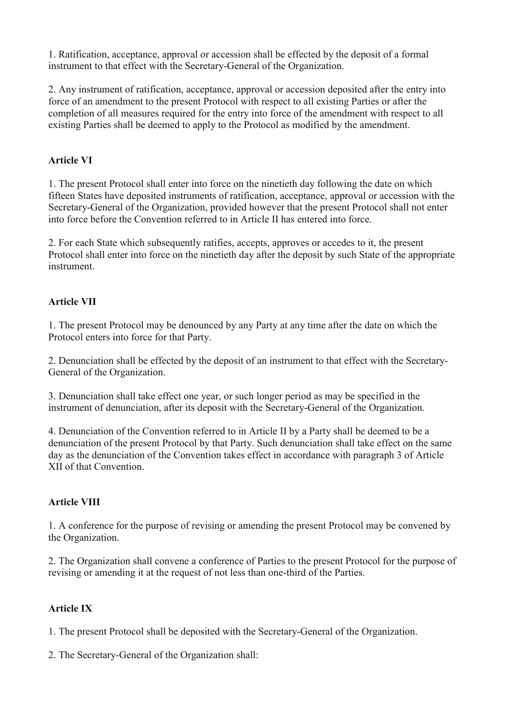1. Ratification, acceptance, approval or accession shall be effected by the deposit of a formal instrument to that effect with the Secretary-General of the Organization.

2. Any instrument of ratification, acceptance, approval or accession deposited after the entry into force of an amendment to the present Protocol with respect to all existing Parties or after the completion of all measures required for the entry into force of the amendment with respect to all existing Parties shall be deemed to apply to the Protocol as modified by the amendment.

## **Article VI**

1. The present Protocol shall enter into force on the ninetieth day following the date on which fifteen States have deposited instruments of ratification, acceptance, approval or accession with the Secretary-General of the Organization, provided however that the present Protocol shall not enter into force before the Convention referred to in Article II has entered into force.

2. For each State which subsequently ratifies, accepts, approves or accedes to it, the present Protocol shall enter into force on the ninetieth day after the deposit by such State of the appropriate instrument.

## **Article VII**

1. The present Protocol may be denounced by any Party at any time after the date on which the Protocol enters into force for that Party.

2. Denunciation shall be effected by the deposit of an instrument to that effect with the Secretary-General of the Organization.

3. Denunciation shall take effect one year, or such longer period as may be specified in the instrument of denunciation, after its deposit with the Secretary-General of the Organization.

4. Denunciation of the Convention referred to in Article II by a Party shall be deemed to be a denunciation of the present Protocol by that Party. Such denunciation shall take effect on the same day as the denunciation of the Convention takes effect in accordance with paragraph 3 of Article XII of that Convention.

#### **Article VIII**

1. A conference for the purpose of revising or amending the present Protocol may be convened by the Organization.

2. The Organization shall convene a conference of Parties to the present Protocol for the purpose of revising or amending it at the request of not less than one-third of the Parties.

#### **Article IX**

1. The present Protocol shall be deposited with the Secretary-General of the Organization.

2. The Secretary-General of the Organization shall: